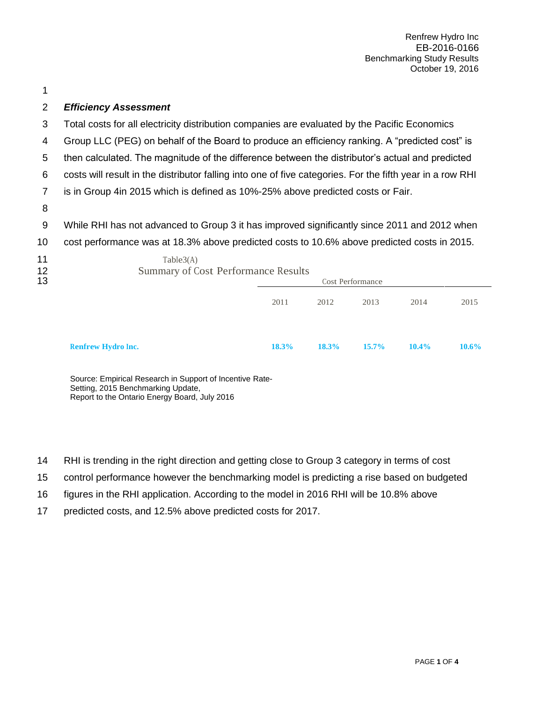Renfrew Hydro Inc EB-2016-0166 Benchmarking Study Results October 19, 2016

## *Efficiency Assessment*

- Total costs for all electricity distribution companies are evaluated by the Pacific Economics
- Group LLC (PEG) on behalf of the Board to produce an efficiency ranking. A "predicted cost" is
- then calculated. The magnitude of the difference between the distributor's actual and predicted
- costs will result in the distributor falling into one of five categories. For the fifth year in a row RHI
- is in Group 4in 2015 which is defined as 10%-25% above predicted costs or Fair.
- 
- While RHI has not advanced to Group 3 it has improved significantly since 2011 and 2012 when
- cost performance was at 18.3% above predicted costs to 10.6% above predicted costs in 2015.

| 11<br>12<br>13 | Table3(A)<br><b>Summary of Cost Performance Results</b> |       | Cost Performance |          |          |          |  |
|----------------|---------------------------------------------------------|-------|------------------|----------|----------|----------|--|
|                |                                                         | 2011  | 2012             | 2013     | 2014     | 2015     |  |
|                | <b>Renfrew Hydro Inc.</b>                               | 18.3% | 18.3%            | $15.7\%$ | $10.4\%$ | $10.6\%$ |  |

Source: Empirical Research in Support of Incentive Rate-Setting, 2015 Benchmarking Update, Report to the Ontario Energy Board, July 2016

- RHI is trending in the right direction and getting close to Group 3 category in terms of cost
- control performance however the benchmarking model is predicting a rise based on budgeted
- figures in the RHI application. According to the model in 2016 RHI will be 10.8% above
- predicted costs, and 12.5% above predicted costs for 2017.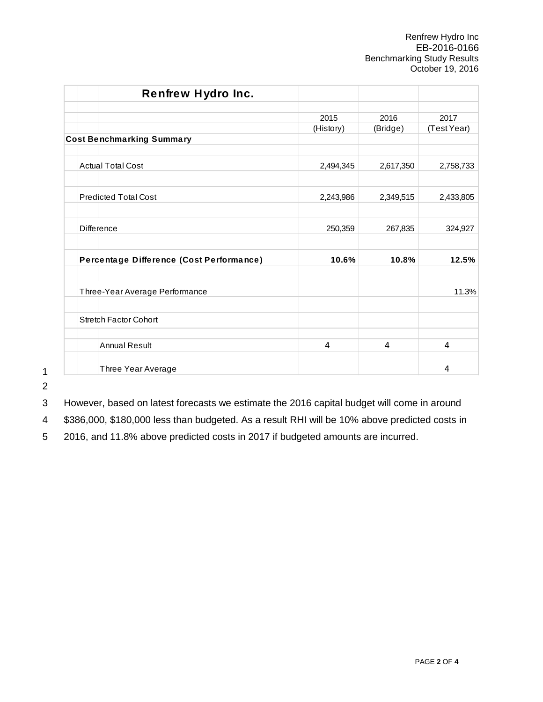Renfrew Hydro Inc EB-2016-0166 Benchmarking Study Results October 19, 2016

| <b>Renfrew Hydro Inc.</b>                |           |           |             |
|------------------------------------------|-----------|-----------|-------------|
|                                          | 2015      | 2016      | 2017        |
|                                          | (History) | (Bridge)  | (Test Year) |
| <b>Cost Benchmarking Summary</b>         |           |           |             |
| <b>Actual Total Cost</b>                 | 2,494,345 | 2,617,350 | 2,758,733   |
| <b>Predicted Total Cost</b>              | 2,243,986 | 2,349,515 | 2,433,805   |
| <b>Difference</b>                        | 250,359   | 267,835   | 324,927     |
| Percentage Difference (Cost Performance) | 10.6%     | 10.8%     | 12.5%       |
| Three-Year Average Performance           |           |           | 11.3%       |
| <b>Stretch Factor Cohort</b>             |           |           |             |
| <b>Annual Result</b>                     | 4         | 4         | 4           |
| Three Year Average                       |           |           | 4           |

1 2

3 However, based on latest forecasts we estimate the 2016 capital budget will come in around

4 \$386,000, \$180,000 less than budgeted. As a result RHI will be 10% above predicted costs in

5 2016, and 11.8% above predicted costs in 2017 if budgeted amounts are incurred.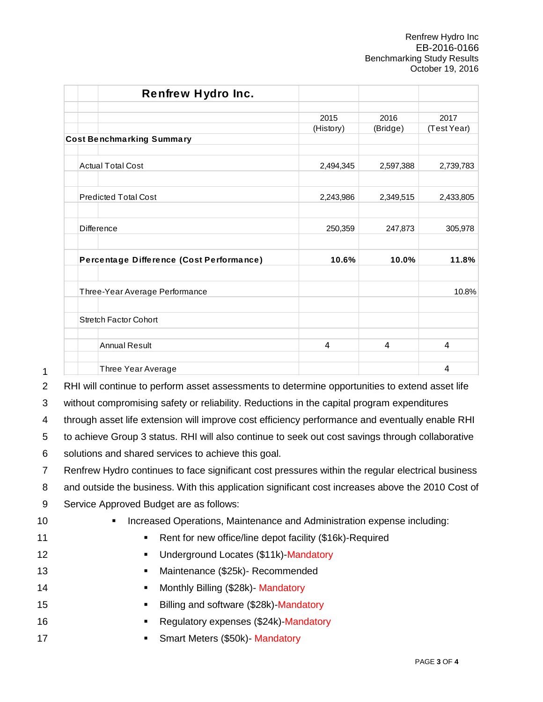Renfrew Hydro Inc EB-2016-0166 Benchmarking Study Results October 19, 2016

|                                  | <b>Renfrew Hydro Inc.</b>                                                                         |                                                          |           |             |
|----------------------------------|---------------------------------------------------------------------------------------------------|----------------------------------------------------------|-----------|-------------|
|                                  |                                                                                                   | 2015                                                     | 2016      | 2017        |
| <b>Cost Benchmarking Summary</b> |                                                                                                   | (History)                                                | (Bridge)  | (Test Year) |
|                                  |                                                                                                   |                                                          |           |             |
| <b>Actual Total Cost</b>         |                                                                                                   | 2,494,345                                                | 2,597,388 | 2,739,783   |
| <b>Predicted Total Cost</b>      |                                                                                                   | 2,243,986                                                | 2,349,515 | 2,433,805   |
| <b>Difference</b>                |                                                                                                   | 250,359                                                  | 247,873   | 305,978     |
|                                  | Percentage Difference (Cost Performance)                                                          | 10.6%                                                    | 10.0%     | 11.8%       |
|                                  | Three-Year Average Performance                                                                    |                                                          |           | 10.8%       |
| <b>Stretch Factor Cohort</b>     |                                                                                                   |                                                          |           |             |
| <b>Annual Result</b>             |                                                                                                   | 4                                                        | 4         | 4           |
|                                  | Three Year Average                                                                                |                                                          |           | 4           |
|                                  | RHI will continue to perform asset assessments to determine opportunities to extend asset life    |                                                          |           |             |
|                                  | without compromising safety or reliability. Reductions in the capital program expenditures        |                                                          |           |             |
|                                  | through asset life extension will improve cost efficiency performance and eventually enable RHI   |                                                          |           |             |
|                                  | to achieve Group 3 status. RHI will also continue to seek out cost savings through collaborative  |                                                          |           |             |
|                                  | solutions and shared services to achieve this goal.                                               |                                                          |           |             |
|                                  | Renfrew Hydro continues to face significant cost pressures within the regular electrical business |                                                          |           |             |
|                                  | and outside the business. With this application significant cost increases above the 2010 Cost of |                                                          |           |             |
|                                  | Service Approved Budget are as follows:                                                           |                                                          |           |             |
|                                  | Increased Operations, Maintenance and Administration expense including:                           |                                                          |           |             |
|                                  | ٠                                                                                                 | Rent for new office/line depot facility (\$16k)-Required |           |             |
|                                  | Underground Locates (\$11k)-Mandatory<br>٠                                                        |                                                          |           |             |
|                                  | Maintenance (\$25k)- Recommended<br>٠                                                             |                                                          |           |             |
|                                  | Monthly Billing (\$28k) - Mandatory<br>٠                                                          |                                                          |           |             |
|                                  | Billing and software (\$28k)-Mandatory<br>٠                                                       |                                                          |           |             |
|                                  | Regulatory expenses (\$24k)-Mandatory<br>٠                                                        |                                                          |           |             |
|                                  | Smart Meters (\$50k)- Mandatory<br>п                                                              |                                                          |           |             |

| 10 |  | • Increased Operations, Maintenance and Administration expense including: |  |  |  |  |
|----|--|---------------------------------------------------------------------------|--|--|--|--|
|----|--|---------------------------------------------------------------------------|--|--|--|--|

- 11 **Rent for new office/line depot facility (\$16k)-Required**
- 12 **ILC CONTRET CONTRET Underground Locates (\$11k)-Mandatory**
- 13 Maintenance (\$25k)- Recommended
- 14 **Monthly Billing (\$28k)** Mandatory
- 15 **Billing and software (\$28k)-Mandatory**
- 16 **Regulatory expenses (\$24k)-Mandatory**
-